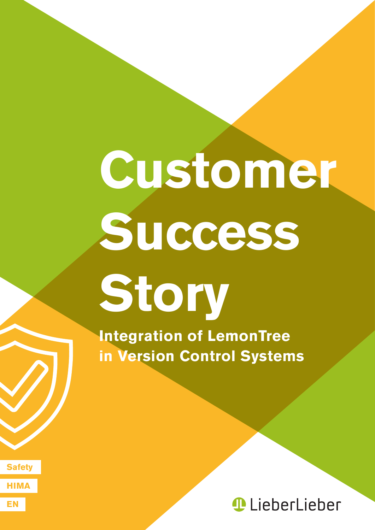# **Customer Success Story**

**Integration of LemonTree in Version Control Systems**

**EN**

**HIMA**

**Safety**

*<u>D</u>* LieberLieber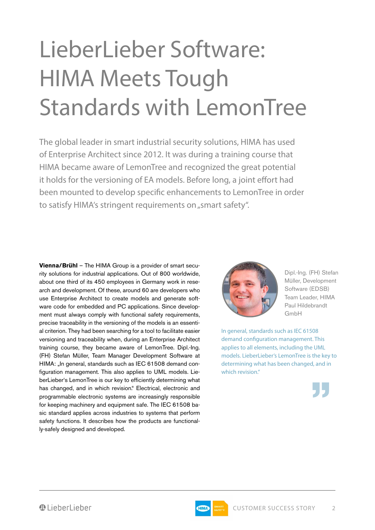## LieberLieber Software: HIMA Meets Tough Standards with LemonTree

The global leader in smart industrial security solutions, HIMA has used of Enterprise Architect since 2012. It was during a training course that HIMA became aware of LemonTree and recognized the great potential it holds for the versioning of EA models. Before long, a joint effort had been mounted to develop specific enhancements to LemonTree in order to satisfy HIMA's stringent requirements on "smart safety".

**Vienna/Brühl** – The HIMA Group is a provider of smart security solutions for industrial applications. Out of 800 worldwide, about one third of its 450 employees in Germany work in research and development. Of these, around 60 are developers who use Enterprise Architect to create models and generate software code for embedded and PC applications. Since development must always comply with functional safety requirements, precise traceability in the versioning of the models is an essential criterion. They had been searching for a tool to facilitate easier versioning and traceability when, during an Enterprise Architect training course, they became aware of LemonTree. Dipl.-Ing. (FH) Stefan Müller, Team Manager Development Software at HIMA: "In general, standards such as IEC 61508 demand configuration management. This also applies to UML models. LieberLieber's LemonTree is our key to efficiently determining what has changed, and in which revision." Electrical, electronic and programmable electronic systems are increasingly responsible for keeping machinery and equipment safe. The IEC 61508 basic standard applies across industries to systems that perform safety functions. It describes how the products are functionally-safely designed and developed.



Dipl.-Ing. (FH) Stefan Müller, Development Software (EDSB) Team Leader, HIMA Paul Hildebrandt GmbH

In general, standards such as IEC 61508 demand configuration management. This applies to all elements, including the UML models. LieberLieber's LemonTree is the key to determining what has been changed, and in which revision."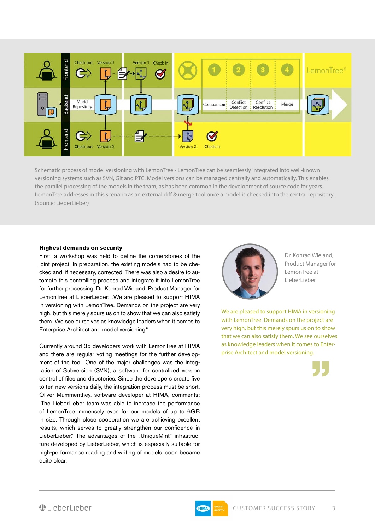

Schematic process of model versioning with LemonTree - LemonTree can be seamlessly integrated into well-known versioning systems such as SVN, Git and PTC. Model versions can be managed centrally and automatically. This enables the parallel processing of the models in the team, as has been common in the development of source code for years. LemonTree addresses in this scenario as an external diff & merge tool once a model is checked into the central repository. (Source: LieberLieber)

#### **Highest demands on security**

First, a workshop was held to define the cornerstones of the joint project. In preparation, the existing models had to be checked and, if necessary, corrected. There was also a desire to automate this controlling process and integrate it into LemonTree for further processing. Dr. Konrad Wieland, Product Manager for LemonTree at LieberLieber: "We are pleased to support HIMA in versioning with LemonTree. Demands on the project are very high, but this merely spurs us on to show that we can also satisfy them. We see ourselves as knowledge leaders when it comes to Enterprise Architect and model versioning."

Currently around 35 developers work with LemonTree at HIMA and there are regular voting meetings for the further development of the tool. One of the major challenges was the integration of Subversion (SVN), a software for centralized version control of files and directories. Since the developers create five to ten new versions daily, the integration process must be short. Oliver Mummenthey, software developer at HIMA, comments: "The LieberLieber team was able to increase the performance of LemonTree immensely even for our models of up to 6GB in size. Through close cooperation we are achieving excellent results, which serves to greatly strengthen our confidence in LieberLieber." The advantages of the "UniqueMint" infrastructure developed by LieberLieber, which is especially suitable for high-performance reading and writing of models, soon became quite clear.



Dr. Konrad Wieland, Product Manager for LemonTree at LieberLieber

We are pleased to support HIMA in versioning with LemonTree. Demands on the project are very high, but this merely spurs us on to show that we can also satisfy them. We see ourselves as knowledge leaders when it comes to Enterprise Architect and model versioning.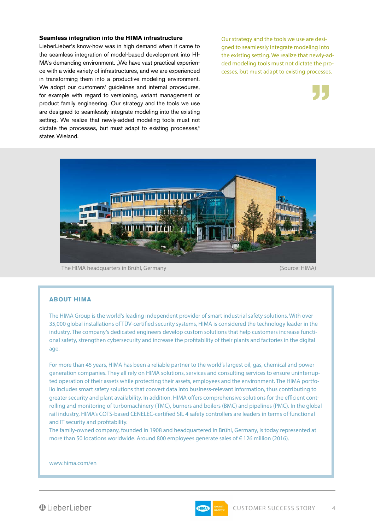#### **Seamless integration into the HIMA infrastructure**

LieberLieber's know-how was in high demand when it came to the seamless integration of model-based development into HI-MA's demanding environment. "We have vast practical experience with a wide variety of infrastructures, and we are experienced in transforming them into a productive modeling environment. We adopt our customers' guidelines and internal procedures, for example with regard to versioning, variant management or product family engineering. Our strategy and the tools we use are designed to seamlessly integrate modeling into the existing setting. We realize that newly-added modeling tools must not dictate the processes, but must adapt to existing processes," states Wieland.

Our strategy and the tools we use are designed to seamlessly integrate modeling into the existing setting. We realize that newly-added modeling tools must not dictate the processes, but must adapt to existing processes.





The HIMA headquarters in Brühl, Germany (Source: HIMA)

#### **ABOUT HIMA**

The HIMA Group is the world's leading independent provider of smart industrial safety solutions. With over 35,000 global installations of TÜV-certified security systems, HIMA is considered the technology leader in the industry. The company's dedicated engineers develop custom solutions that help customers increase functional safety, strengthen cybersecurity and increase the profitability of their plants and factories in the digital age.

For more than 45 years, HIMA has been a reliable partner to the world's largest oil, gas, chemical and power generation companies. They all rely on HIMA solutions, services and consulting services to ensure uninterrupted operation of their assets while protecting their assets, employees and the environment. The HIMA portfolio includes smart safety solutions that convert data into business-relevant information, thus contributing to greater security and plant availability. In addition, HIMA offers comprehensive solutions for the efficient controlling and monitoring of turbomachinery (TMC), burners and boilers (BMC) and pipelines (PMC). In the global rail industry, HIMA's COTS-based CENELEC-certified SIL 4 safety controllers are leaders in terms of functional and IT security and profitability.

The family-owned company, founded in 1908 and headquartered in Brühl, Germany, is today represented at more than 50 locations worldwide. Around 800 employees generate sales of € 126 million (2016).

www.hima.com/en